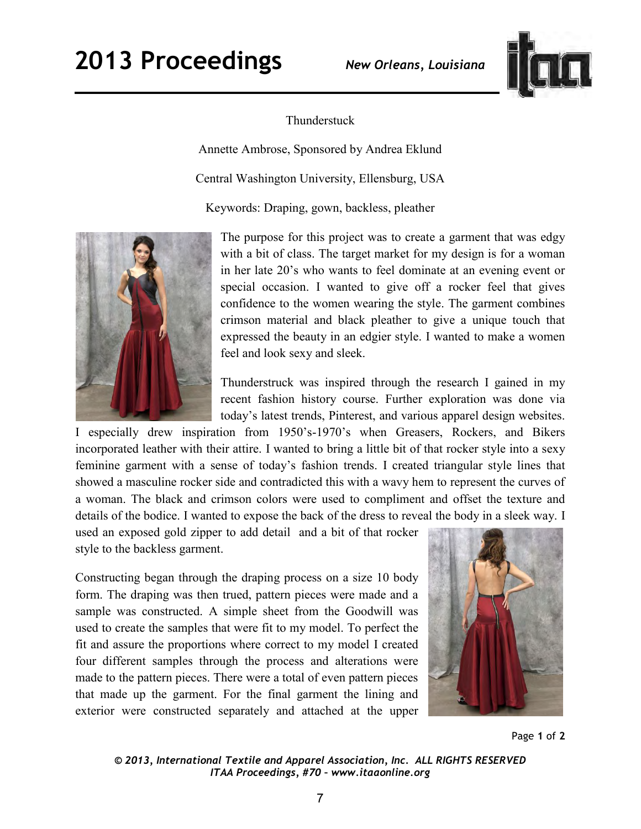

## Thunderstuck

Annette Ambrose, Sponsored by Andrea Eklund

Central Washington University, Ellensburg, USA

Keywords: Draping, gown, backless, pleather



The purpose for this project was to create a garment that was edgy with a bit of class. The target market for my design is for a woman in her late 20's who wants to feel dominate at an evening event or special occasion. I wanted to give off a rocker feel that gives confidence to the women wearing the style. The garment combines crimson material and black pleather to give a unique touch that expressed the beauty in an edgier style. I wanted to make a women feel and look sexy and sleek.

Thunderstruck was inspired through the research I gained in my recent fashion history course. Further exploration was done via today's latest trends, Pinterest, and various apparel design websites.

I especially drew inspiration from 1950's-1970's when Greasers, Rockers, and Bikers incorporated leather with their attire. I wanted to bring a little bit of that rocker style into a sexy feminine garment with a sense of today's fashion trends. I created triangular style lines that showed a masculine rocker side and contradicted this with a wavy hem to represent the curves of a woman. The black and crimson colors were used to compliment and offset the texture and details of the bodice. I wanted to expose the back of the dress to reveal the body in a sleek way. I

used an exposed gold zipper to add detail and a bit of that rocker style to the backless garment.

Constructing began through the draping process on a size 10 body form. The draping was then trued, pattern pieces were made and a sample was constructed. A simple sheet from the Goodwill was used to create the samples that were fit to my model. To perfect the fit and assure the proportions where correct to my model I created four different samples through the process and alterations were made to the pattern pieces. There were a total of even pattern pieces that made up the garment. For the final garment the lining and exterior were constructed separately and attached at the upper



Page **1** of **2** 

*© 2013, International Textile and Apparel Association, Inc. ALL RIGHTS RESERVED ITAA Proceedings, #70 – www.itaaonline.org*